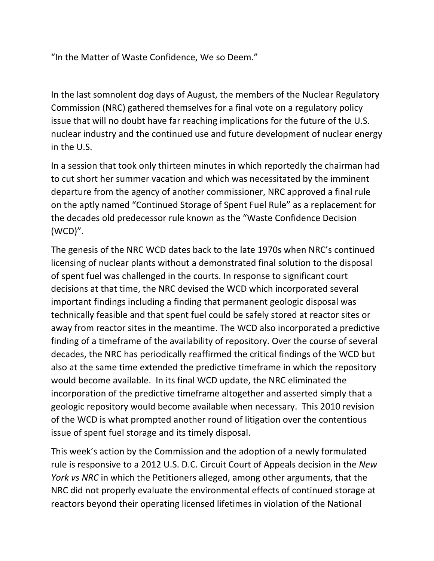"In the Matter of Waste Confidence, We so Deem."

In the last somnolent dog days of August, the members of the Nuclear Regulatory Commission (NRC) gathered themselves for a final vote on a regulatory policy issue that will no doubt have far reaching implications for the future of the U.S. nuclear industry and the continued use and future development of nuclear energy in the U.S.

In a session that took only thirteen minutes in which reportedly the chairman had to cut short her summer vacation and which was necessitated by the imminent departure from the agency of another commissioner, NRC approved a final rule on the aptly named "Continued Storage of Spent Fuel Rule" as a replacement for the decades old predecessor rule known as the "Waste Confidence Decision (WCD)".

The genesis of the NRC WCD dates back to the late 1970s when NRC's continued licensing of nuclear plants without a demonstrated final solution to the disposal of spent fuel was challenged in the courts. In response to significant court decisions at that time, the NRC devised the WCD which incorporated several important findings including a finding that permanent geologic disposal was technically feasible and that spent fuel could be safely stored at reactor sites or away from reactor sites in the meantime. The WCD also incorporated a predictive finding of a timeframe of the availability of repository. Over the course of several decades, the NRC has periodically reaffirmed the critical findings of the WCD but also at the same time extended the predictive timeframe in which the repository would become available. In its final WCD update, the NRC eliminated the incorporation of the predictive timeframe altogether and asserted simply that a geologic repository would become available when necessary. This 2010 revision of the WCD is what prompted another round of litigation over the contentious issue of spent fuel storage and its timely disposal.

This week's action by the Commission and the adoption of a newly formulated rule is responsive to a 2012 U.S. D.C. Circuit Court of Appeals decision in the *New York vs NRC* in which the Petitioners alleged, among other arguments, that the NRC did not properly evaluate the environmental effects of continued storage at reactors beyond their operating licensed lifetimes in violation of the National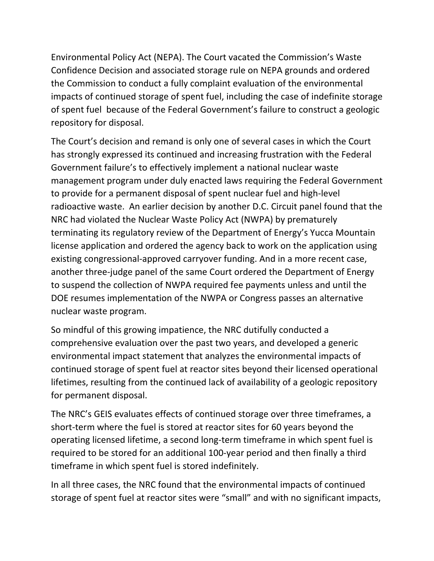Environmental Policy Act (NEPA). The Court vacated the Commission's Waste Confidence Decision and associated storage rule on NEPA grounds and ordered the Commission to conduct a fully complaint evaluation of the environmental impacts of continued storage of spent fuel, including the case of indefinite storage of spent fuel because of the Federal Government's failure to construct a geologic repository for disposal.

The Court's decision and remand is only one of several cases in which the Court has strongly expressed its continued and increasing frustration with the Federal Government failure's to effectively implement a national nuclear waste management program under duly enacted laws requiring the Federal Government to provide for a permanent disposal of spent nuclear fuel and high‐level radioactive waste. An earlier decision by another D.C. Circuit panel found that the NRC had violated the Nuclear Waste Policy Act (NWPA) by prematurely terminating its regulatory review of the Department of Energy's Yucca Mountain license application and ordered the agency back to work on the application using existing congressional‐approved carryover funding. And in a more recent case, another three‐judge panel of the same Court ordered the Department of Energy to suspend the collection of NWPA required fee payments unless and until the DOE resumes implementation of the NWPA or Congress passes an alternative nuclear waste program.

So mindful of this growing impatience, the NRC dutifully conducted a comprehensive evaluation over the past two years, and developed a generic environmental impact statement that analyzes the environmental impacts of continued storage of spent fuel at reactor sites beyond their licensed operational lifetimes, resulting from the continued lack of availability of a geologic repository for permanent disposal.

The NRC's GEIS evaluates effects of continued storage over three timeframes, a short‐term where the fuel is stored at reactor sites for 60 years beyond the operating licensed lifetime, a second long‐term timeframe in which spent fuel is required to be stored for an additional 100‐year period and then finally a third timeframe in which spent fuel is stored indefinitely.

In all three cases, the NRC found that the environmental impacts of continued storage of spent fuel at reactor sites were "small" and with no significant impacts,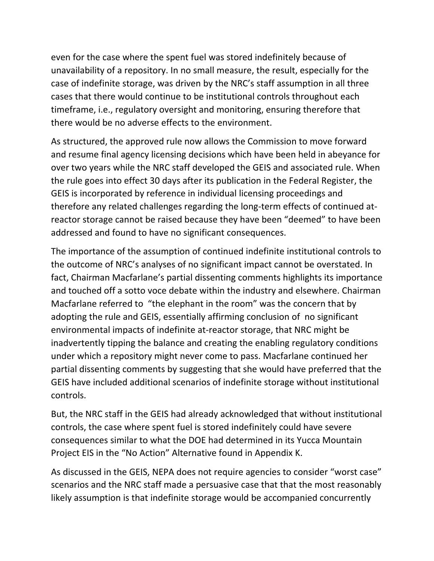even for the case where the spent fuel was stored indefinitely because of unavailability of a repository. In no small measure, the result, especially for the case of indefinite storage, was driven by the NRC's staff assumption in all three cases that there would continue to be institutional controls throughout each timeframe, i.e., regulatory oversight and monitoring, ensuring therefore that there would be no adverse effects to the environment.

As structured, the approved rule now allows the Commission to move forward and resume final agency licensing decisions which have been held in abeyance for over two years while the NRC staff developed the GEIS and associated rule. When the rule goes into effect 30 days after its publication in the Federal Register, the GEIS is incorporated by reference in individual licensing proceedings and therefore any related challenges regarding the long‐term effects of continued at‐ reactor storage cannot be raised because they have been "deemed" to have been addressed and found to have no significant consequences.

The importance of the assumption of continued indefinite institutional controls to the outcome of NRC's analyses of no significant impact cannot be overstated. In fact, Chairman Macfarlane's partial dissenting comments highlights its importance and touched off a sotto voce debate within the industry and elsewhere. Chairman Macfarlane referred to "the elephant in the room" was the concern that by adopting the rule and GEIS, essentially affirming conclusion of no significant environmental impacts of indefinite at‐reactor storage, that NRC might be inadvertently tipping the balance and creating the enabling regulatory conditions under which a repository might never come to pass. Macfarlane continued her partial dissenting comments by suggesting that she would have preferred that the GEIS have included additional scenarios of indefinite storage without institutional controls.

But, the NRC staff in the GEIS had already acknowledged that without institutional controls, the case where spent fuel is stored indefinitely could have severe consequences similar to what the DOE had determined in its Yucca Mountain Project EIS in the "No Action" Alternative found in Appendix K.

As discussed in the GEIS, NEPA does not require agencies to consider "worst case" scenarios and the NRC staff made a persuasive case that that the most reasonably likely assumption is that indefinite storage would be accompanied concurrently